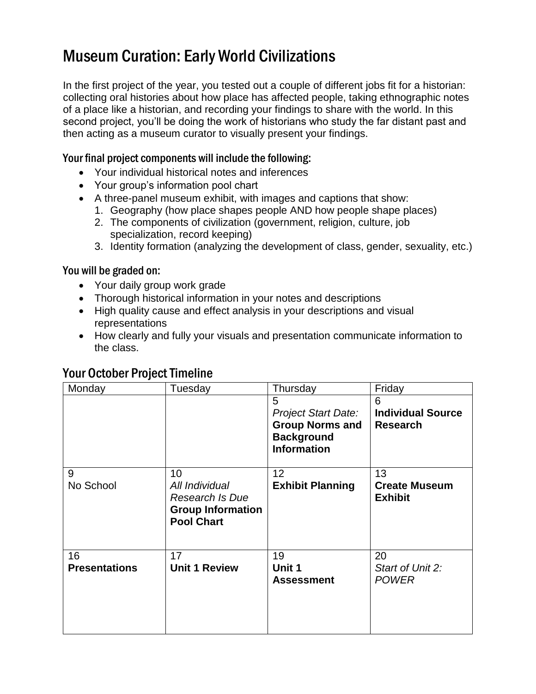## Museum Curation: Early World Civilizations

In the first project of the year, you tested out a couple of different jobs fit for a historian: collecting oral histories about how place has affected people, taking ethnographic notes of a place like a historian, and recording your findings to share with the world. In this second project, you'll be doing the work of historians who study the far distant past and then acting as a museum curator to visually present your findings.

#### Your final project components will include the following:

- Your individual historical notes and inferences
- Your group's information pool chart
- A three-panel museum exhibit, with images and captions that show:
	- 1. Geography (how place shapes people AND how people shape places)
	- 2. The components of civilization (government, religion, culture, job specialization, record keeping)
	- 3. Identity formation (analyzing the development of class, gender, sexuality, etc.)

#### You will be graded on:

- Your daily group work grade
- Thorough historical information in your notes and descriptions
- High quality cause and effect analysis in your descriptions and visual representations
- How clearly and fully your visuals and presentation communicate information to the class.

| Monday                     | Tuesday                                                                                  | Thursday                                                                                             | Friday                                           |
|----------------------------|------------------------------------------------------------------------------------------|------------------------------------------------------------------------------------------------------|--------------------------------------------------|
|                            |                                                                                          | 5<br><b>Project Start Date:</b><br><b>Group Norms and</b><br><b>Background</b><br><b>Information</b> | 6<br><b>Individual Source</b><br><b>Research</b> |
| 9<br>No School             | 10<br>All Individual<br>Research Is Due<br><b>Group Information</b><br><b>Pool Chart</b> | 12<br><b>Exhibit Planning</b>                                                                        | 13<br><b>Create Museum</b><br><b>Exhibit</b>     |
| 16<br><b>Presentations</b> | 17<br><b>Unit 1 Review</b>                                                               | 19<br>Unit 1<br><b>Assessment</b>                                                                    | 20<br>Start of Unit 2:<br><b>POWER</b>           |

### Your October Project Timeline